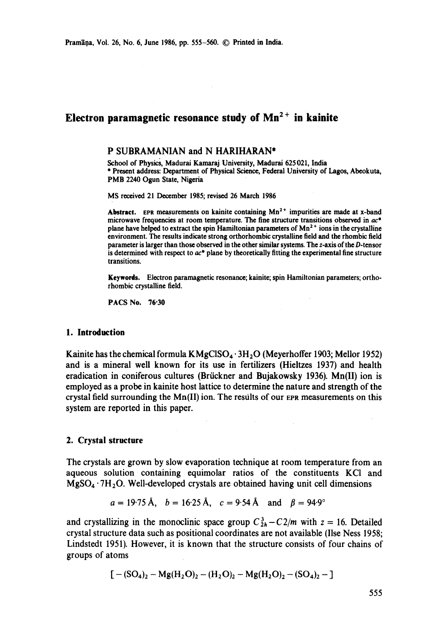# **Electron paramagnetic resonance study of Mn<sup>2+</sup> in kainite**

## **P SUBRAMANIAN and N** HARIHARAN\*

School of Physics, Madurai Kamaraj University, Madurai 625021, India \* Present address: Department of Physical Science, Federal University of Lagos, Abeokuta, PMB 2240 Ogun State, Nigeria

MS received 21 December 1985; revised 26 March 1986

Abstract. EPR measurements on kainite containing Mn<sup>2+</sup> impurities are made at x-band microwave frequencies at room temperature. The fine structure transitions observed in  $ac^*$ plane have helped to extract the spin Hamiltonian parameters of  $Mn^{2+}$  ions in the crystalline environment. The results indicate strong orthorhombic crystalline field and the rhombic field parameter is larger than those observed in the other similar systems. The z-axis of the D-tensor is determined with respect to  $ac^*$  plane by theoretically fitting the experimental fine structure transitions.

**Keywords.** Electron paramagnetic resonance; kainite; spin Hamiltonian parameters; orthorhombic crystalline field.

PACS No. **76"30** 

## **1. Introduction**

Kainite has the chemical formula  $KMgCISO<sub>4</sub> \cdot 3H<sub>2</sub>O$  (Meyerhoffer 1903; Mellor 1952) and is a mineral well known for its use in fertilizers (Hieltzes 1937) and health eradication in coniferous cultures (Brückner and Bujakowsky 1936). Mn(II) ion is employed as a probe in kainite host lattice to determine the nature and strength of the crystal field surrounding the  $Mn(I)$  ion. The results of our EPR measurements on this system are reported in this paper.

## **2. Crystal structure**

The crystals are grown by slow evaporation technique at room temperature from an aqueous solution containing equimolar ratios of the constituents KCI and  $MgSO_4 \cdot 7H_2O$ . Well-developed crystals are obtained having unit cell dimensions

$$
a = 19.75 \text{ Å}, b = 16.25 \text{ Å}, c = 9.54 \text{ Å} \text{ and } \beta = 94.9^{\circ}
$$

and crystallizing in the monoclinic space group  $C_{2h}^3 - C_2/m$  with  $z = 16$ . Detailed crystal structure data such as positional coordinates are not available (Ilse Ness 1958; Lindstedt 1951). However, it is known that the structure consists of four chains of groups of atoms

$$
[-(SO_4)_2 - Mg(H_2O)_2 - (H_2O)_2 - Mg(H_2O)_2 - (SO_4)_2 - ]
$$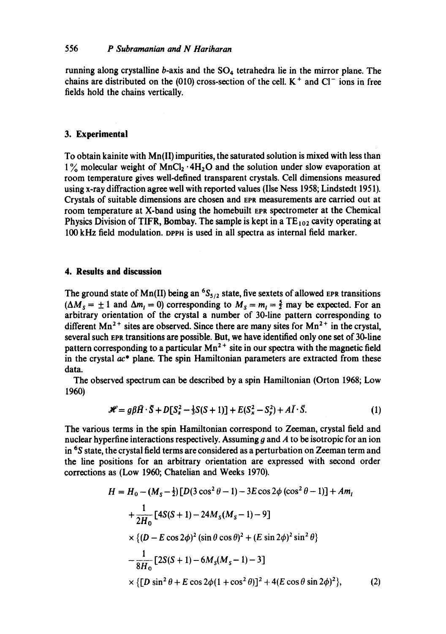# 556 *P Subramanian and N Hariharan*

running along crystalline  $b$ -axis and the  $SO_4$  tetrahedra lie in the mirror plane. The chains are distributed on the (010) cross-section of the cell.  $K^+$  and  $Cl^-$  ions in free fields hold the chains vertically.

# **3. Experimental**

To obtain kainite with Mn(lI) impurities, the saturated solution is mixed with less than  $1\%$  molecular weight of MnCl<sub>2</sub>  $\cdot$  4H<sub>2</sub>O and the solution under slow evaporation at room temperature gives well-defined transparent crystals. Cell dimensions measured using x-ray diffraction agree well with reported values (Ilse Ness 1958; Lindstedt 1951). Crystals of suitable dimensions are chosen and Eva measurements are carried out at room temperature at X-band using the homebuilt EPR spectrometer at the Chemical Physics Division of TIFR, Bombay. The sample is kept in a  $TE_{102}$  cavity operating at 100 kHz field modulation, oPPrt is used in all spectra as internal field marker.

## **4. Results and discussion**

The ground state of Mn(II) being an  ${}^{6}S_{5/2}$  state, five sextets of allowed EPR transitions  $(\Delta M_s = \pm 1$  and  $\Delta m_l = 0)$  corresponding to  $M_s = m_l = \frac{5}{2}$  may be expected. For an arbitrary orientation of the crystal a number of 30-line pattern corresponding to different  $Mn^{2+}$  sites are observed. Since there are many sites for  $Mn^{2+}$  in the crystal, several such EPR transitions are possible. But, we have identified only one set of 30-line pattern corresponding to a particular  $Mn^{2+}$  site in our spectra with the magnetic field in the crystal  $ac^*$  plane. The spin Hamiltonian parameters are extracted from these data.

The observed spectrum can be described by a spin Hamiltonian (Orton 1968; Low 1960)

$$
\mathcal{H} = g\beta \bar{H} \cdot \bar{S} + D[S_z^2 - \frac{1}{3}S(S+1)] + E(S_x^2 - S_y^2) + A\bar{I} \cdot \bar{S}.
$$
 (1)

The various terms in the spin Hamiltonian correspond to Zeeman, crystal field and nuclear hyperfine interactions respectively. Assuming g and  $A$  to be isotropic for an ion in 6S state, the crystal field terms are considered as a perturbation on Zeeman term and the line positions for an arbitrary orientation are expressed with second order corrections as (Low 1960; Chatelian and Weeks 1970).

$$
H = H_0 - (M_s - \frac{1}{2}) [D(3 \cos^2 \theta - 1) - 3E \cos 2\phi (\cos^2 \theta - 1)] + Am_1
$$
  
+ 
$$
\frac{1}{2H_0} [4S(S+1) - 24M_s(M_s - 1) - 9]
$$
  

$$
\times \{ (D - E \cos 2\phi)^2 (\sin \theta \cos \theta)^2 + (E \sin 2\phi)^2 \sin^2 \theta \}
$$
  
- 
$$
\frac{1}{8H_0} [2S(S+1) - 6M_s(M_s - 1) - 3]
$$
  

$$
\times \{ [D \sin^2 \theta + E \cos 2\phi (1 + \cos^2 \theta)]^2 + 4(E \cos \theta \sin 2\phi)^2 \},
$$
 (2)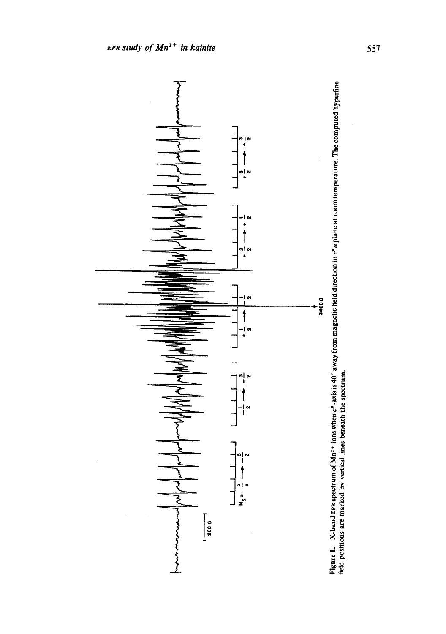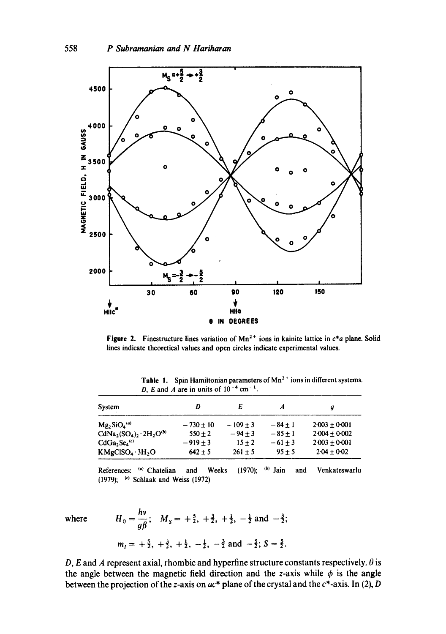

Figure 2. Finestructure lines variation of Mn<sup>2+</sup> ions in kainite lattice in  $c^*a$  plane. Solid lines indicate theoretical values and open circles indicate experimental values.

| $\n  D, D and D are the same, D are the same.$ |             |           |           |                 |
|------------------------------------------------|-------------|-----------|-----------|-----------------|
| System                                         | D           | E         |           | д               |
| $Mg_2SiO_4^{(a)}$                              | $-730 + 10$ | $-109+3$  | $-84 + 1$ | $2.003 + 0.001$ |
| $CdNa_2(SO_4)_2 \cdot 2H_2O^{(b)}$             | $550 + 2$   | $-94 + 3$ | $-85+1$   | $2.004 + 0.002$ |
| $CdGa2Se4(c)$                                  | $-919+3$    | $15 + 2$  | $-61 + 3$ | $2.003 + 0.001$ |
| KMgCISO <sub>4</sub> ·3H <sub>2</sub> O        | $642 + 5$   | $261 + 5$ | $95 + 5$  | $2.04 + 0.02$   |

Table 1. Spin Hamiltonian parameters of  $Mn^2$ <sup>+</sup> ions in different systems. D, E and A are in units of  $10^{-4}$  cm<sup>-1</sup>

References: (a) Chatelian and Weeks (1970); (b) Jain and Venkateswarlu (1979); (c) Schlaak and Weiss (1972)

where 
$$
H_0 = \frac{hv}{g\beta}
$$
;  $M_s = +\frac{5}{2}, +\frac{3}{2}, +\frac{1}{2}, -\frac{1}{2}$  and  $-\frac{3}{2}$ ;  
 $m_l = +\frac{5}{2}, +\frac{3}{2}, +\frac{1}{2}, -\frac{1}{2}, -\frac{3}{2}$  and  $-\frac{5}{2}$ ;  $S = \frac{5}{2}$ .

 $\mathbf{h}$ 

D, E and A represent axial, rhombic and hyperfine structure constants respectively.  $\theta$  is the angle between the magnetic field direction and the z-axis while  $\phi$  is the angle between the projection of the z-axis on *ac\** plane of the crystal and the c\*-axis. **In (2), D**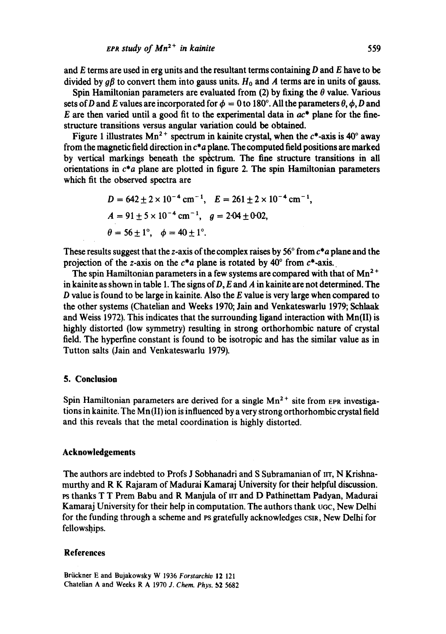and  $E$  terms are used in erg units and the resultant terms containing  $D$  and  $E$  have to be divided by g $\beta$  to convert them into gauss units.  $H_0$  and A terms are in units of gauss.

Spin Hamiltonian parameters are evaluated from (2) by fixing the  $\theta$  value. Various sets of D and E values are incorporated for  $\phi = 0$  to 180°. All the parameters  $\theta$ ,  $\phi$ , D and E are then varied until a good fit to the experimental data in  $ac^*$  plane for the finestructure transitions versus angular variation could be obtained.

Figure 1 illustrates  $Mn^{2+}$  spectrum in kainite crystal, when the  $c^*$ -axis is 40<sup>°</sup> away from the magnetic field direction in *c\*a* plane. The computed field positions are marked by vertical markings beneath the spectrum. The fine structure transitions in all orientations in *c\*a* plane are plotted in figure 2. The spin Hamiltonian parameters which fit the observed spectra are

$$
D = 642 \pm 2 \times 10^{-4} \text{ cm}^{-1}, \quad E = 261 \pm 2 \times 10^{-4} \text{ cm}^{-1},
$$
  
\n
$$
A = 91 \pm 5 \times 10^{-4} \text{ cm}^{-1}, \quad g = 2.04 \pm 0.02,
$$
  
\n
$$
\theta = 56 \pm 1^{\circ}, \quad \phi = 40 \pm 1^{\circ}.
$$

These results suggest that the z-axis of the complex raises by 56 ~ from *c\*a* plane and the projection of the z-axis on the  $c^*a$  plane is rotated by  $40^\circ$  from  $c^*$ -axis.

The spin Hamiltonian parameters in a few systems are compared with that of  $Mn^{2+}$ in kainite as shown in table 1. The signs of  $D$ , E and A in kainite are not determined. The  $D$  value is found to be large in kainite. Also the  $E$  value is very large when compared to the other systems (Chatelian and Weeks 1970; Jain and Venkateswarlu 1979; Schlaak and Weiss 1972). This indicates that the surrounding ligand interaction with Mn(II) is highly distorted (low symmetry) resulting in strong orthorhombic nature of crystal field. The hyperfine constant is found to be isotropic and has the similar value as in Tutton salts (Jain and Venkateswarlu 1979).

#### **5. Conclusion**

Spin Hamiltonian parameters are derived for a single  $Mn^{2+}$  site from EPR investigations in kainite. The Mn(II) ion is influenced by a very strong orthorhombic crystal field and this reveals that the metal coordination is highly distorted.

### **Acknowledgements**

The authors are indebted to Profs J Sobhanadri and S Subramanian of irr, N Krishnamurthy and R K Rajaram of Madurai Kamaraj University for their helpful discussion. rs thanks T T Prem Babu and R Manjula of IIT and D Pathinettam Padyan, Madurai Kamaraj University for their help in computation. The authors thank ugc, New Delhi for the funding through a scheme and PS gratefully acknowledges CSIR, New Delhi for fellowships.

#### **References**

Brückner E and Bujakowsky W 1936 Forstarchiv 12 121 Chatelian A and Weeks R A 1970 *J. Chem. Phys.* b2 5682